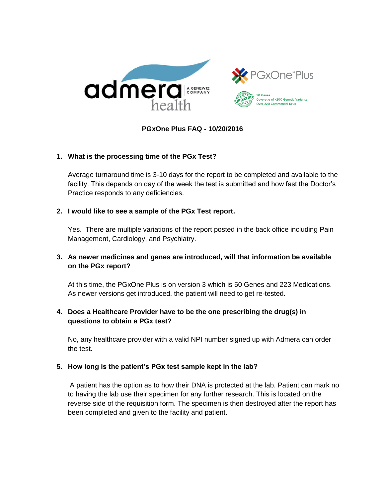



## **PGxOne Plus FAQ - 10/20/2016**

### **1. What is the processing time of the PGx Test?**

Average turnaround time is 3-10 days for the report to be completed and available to the facility. This depends on day of the week the test is submitted and how fast the Doctor's Practice responds to any deficiencies.

#### **2. I would like to see a sample of the PGx Test report.**

Yes. There are multiple variations of the report posted in the back office including Pain Management, Cardiology, and Psychiatry.

# **3. As newer medicines and genes are introduced, will that information be available on the PGx report?**

At this time, the PGxOne Plus is on version 3 which is 50 Genes and 223 Medications. As newer versions get introduced, the patient will need to get re-tested.

# **4. Does a Healthcare Provider have to be the one prescribing the drug(s) in questions to obtain a PGx test?**

No, any healthcare provider with a valid NPI number signed up with Admera can order the test.

### **5. How long is the patient's PGx test sample kept in the lab?**

A patient has the option as to how their DNA is protected at the lab. Patient can mark no to having the lab use their specimen for any further research. This is located on the reverse side of the requisition form. The specimen is then destroyed after the report has been completed and given to the facility and patient.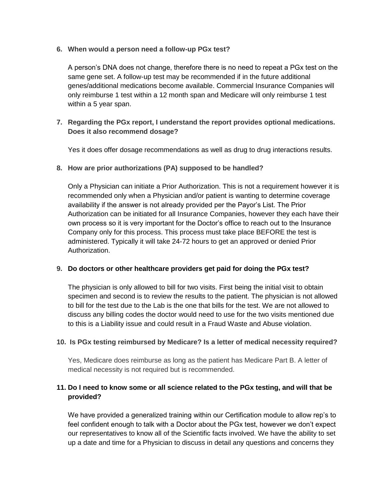**6. When would a person need a follow-up PGx test?**

A person's DNA does not change, therefore there is no need to repeat a PGx test on the same gene set. A follow-up test may be recommended if in the future additional genes/additional medications become available. Commercial Insurance Companies will only reimburse 1 test within a 12 month span and Medicare will only reimburse 1 test within a 5 year span.

**7. Regarding the PGx report, I understand the report provides optional medications. Does it also recommend dosage?**

Yes it does offer dosage recommendations as well as drug to drug interactions results.

**8. How are prior authorizations (PA) supposed to be handled?**

Only a Physician can initiate a Prior Authorization. This is not a requirement however it is recommended only when a Physician and/or patient is wanting to determine coverage availability if the answer is not already provided per the Payor's List. The Prior Authorization can be initiated for all Insurance Companies, however they each have their own process so it is very important for the Doctor's office to reach out to the Insurance Company only for this process. This process must take place BEFORE the test is administered. Typically it will take 24-72 hours to get an approved or denied Prior Authorization.

### **9. Do doctors or other healthcare providers get paid for doing the PGx test?**

The physician is only allowed to bill for two visits. First being the initial visit to obtain specimen and second is to review the results to the patient. The physician is not allowed to bill for the test due to the Lab is the one that bills for the test. We are not allowed to discuss any billing codes the doctor would need to use for the two visits mentioned due to this is a Liability issue and could result in a Fraud Waste and Abuse violation.

# **10. Is PGx testing reimbursed by Medicare? Is a letter of medical necessity required?**

Yes, Medicare does reimburse as long as the patient has Medicare Part B. A letter of medical necessity is not required but is recommended.

# **11. Do I need to know some or all science related to the PGx testing, and will that be provided?**

We have provided a generalized training within our Certification module to allow rep's to feel confident enough to talk with a Doctor about the PGx test, however we don't expect our representatives to know all of the Scientific facts involved. We have the ability to set up a date and time for a Physician to discuss in detail any questions and concerns they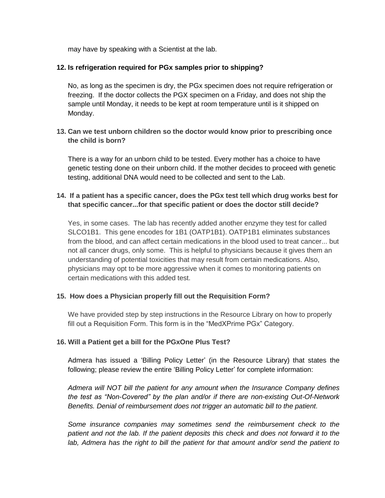may have by speaking with a Scientist at the lab.

### **12. Is refrigeration required for PGx samples prior to shipping?**

No, as long as the specimen is dry, the PGx specimen does not require refrigeration or freezing. If the doctor collects the PGX specimen on a Friday, and does not ship the sample until Monday, it needs to be kept at room temperature until is it shipped on Monday.

**13. Can we test unborn children so the doctor would know prior to prescribing once the child is born?**

There is a way for an unborn child to be tested. Every mother has a choice to have genetic testing done on their unborn child. If the mother decides to proceed with genetic testing, additional DNA would need to be collected and sent to the Lab.

## **14. If a patient has a specific cancer, does the PGx test tell which drug works best for that specific cancer...for that specific patient or does the doctor still decide?**

Yes, in some cases. The lab has recently added another enzyme they test for called SLCO1B1. This gene encodes for 1B1 (OATP1B1). OATP1B1 eliminates substances from the blood, and can affect certain medications in the blood used to treat cancer... but not all cancer drugs, only some. This is helpful to physicians because it gives them an understanding of potential toxicities that may result from certain medications. Also, physicians may opt to be more aggressive when it comes to monitoring patients on certain medications with this added test.

### **15. How does a Physician properly fill out the Requisition Form?**

We have provided step by step instructions in the Resource Library on how to properly fill out a Requisition Form. This form is in the "MedXPrime PGx" Category.

### **16. Will a Patient get a bill for the PGxOne Plus Test?**

Admera has issued a 'Billing Policy Letter' (in the Resource Library) that states the following; please review the entire 'Billing Policy Letter' for complete information:

*Admera will NOT bill the patient for any amount when the Insurance Company defines the test as "Non-Covered" by the plan and/or if there are non-existing Out-Of-Network Benefits. Denial of reimbursement does not trigger an automatic bill to the patient.*

*Some insurance companies may sometimes send the reimbursement check to the patient and not the lab. If the patient deposits this check and does not forward it to the lab, Admera has the right to bill the patient for that amount and/or send the patient to*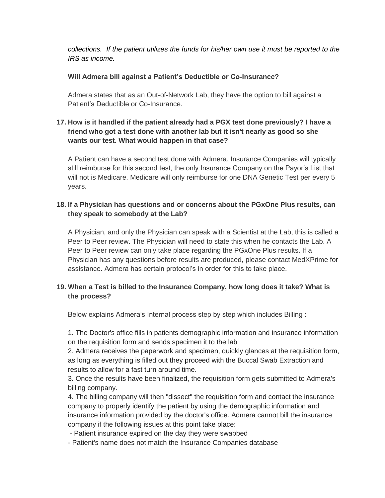*collections. If the patient utilizes the funds for his/her own use it must be reported to the IRS as income.*

### **Will Admera bill against a Patient's Deductible or Co-Insurance?**

Admera states that as an Out-of-Network Lab, they have the option to bill against a Patient's Deductible or Co-Insurance.

# **17. How is it handled if the patient already had a PGX test done previously? I have a friend who got a test done with another lab but it isn't nearly as good so she wants our test. What would happen in that case?**

A Patient can have a second test done with Admera. Insurance Companies will typically still reimburse for this second test, the only Insurance Company on the Payor's List that will not is Medicare. Medicare will only reimburse for one DNA Genetic Test per every 5 years.

# **18. If a Physician has questions and or concerns about the PGxOne Plus results, can they speak to somebody at the Lab?**

A Physician, and only the Physician can speak with a Scientist at the Lab, this is called a Peer to Peer review. The Physician will need to state this when he contacts the Lab. A Peer to Peer review can only take place regarding the PGxOne Plus results. If a Physician has any questions before results are produced, please contact MedXPrime for assistance. Admera has certain protocol's in order for this to take place.

# **19. When a Test is billed to the Insurance Company, how long does it take? What is the process?**

Below explains Admera's Internal process step by step which includes Billing :

1. The Doctor's office fills in patients demographic information and insurance information on the requisition form and sends specimen it to the lab

2. Admera receives the paperwork and specimen, quickly glances at the requisition form, as long as everything is filled out they proceed with the Buccal Swab Extraction and results to allow for a fast turn around time.

3. Once the results have been finalized, the requisition form gets submitted to Admera's billing company.

4. The billing company will then "dissect" the requisition form and contact the insurance company to properly identify the patient by using the demographic information and insurance information provided by the doctor's office. Admera cannot bill the insurance company if the following issues at this point take place:

- Patient insurance expired on the day they were swabbed

- Patient's name does not match the Insurance Companies database